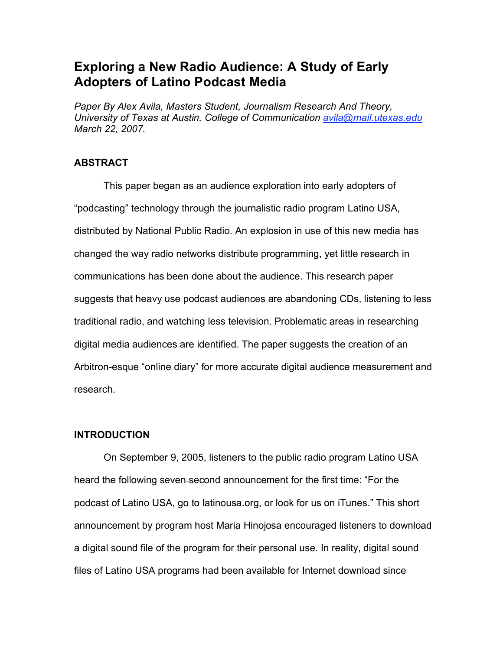# **Exploring a New Radio Audience: A Study of Early Adopters of Latino Podcast Media**

*Paper By Alex Avila, Masters Student, Journalism Research And Theory, University of Texas at Austin, College of Communication avila@mail.utexas.edu March 22, 2007.*

# **ABSTRACT**

This paper began as an audience exploration into early adopters of "podcasting" technology through the journalistic radio program Latino USA, distributed by National Public Radio. An explosion in use of this new media has changed the way radio networks distribute programming, yet little research in communications has been done about the audience. This research paper suggests that heavy use podcast audiences are abandoning CDs, listening to less traditional radio, and watching less television. Problematic areas in researching digital media audiences are identified. The paper suggests the creation of an Arbitron-esque "online diary" for more accurate digital audience measurement and research.

# **INTRODUCTION**

On September 9, 2005, listeners to the public radio program Latino USA heard the following seven second announcement for the first time: "For the podcast of Latino USA, go to latinousa.org, or look for us on iTunes." This short announcement by program host Maria Hinojosa encouraged listeners to download a digital sound file of the program for their personal use. In reality, digital sound files of Latino USA programs had been available for Internet download since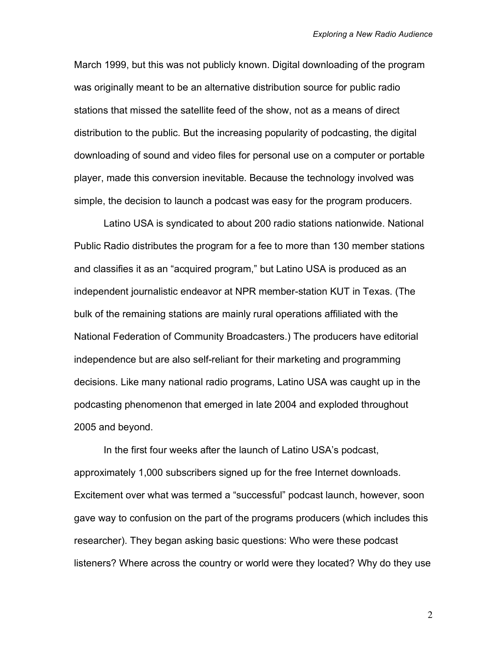March 1999, but this was not publicly known. Digital downloading of the program was originally meant to be an alternative distribution source for public radio stations that missed the satellite feed of the show, not as a means of direct distribution to the public. But the increasing popularity of podcasting, the digital downloading of sound and video files for personal use on a computer or portable player, made this conversion inevitable. Because the technology involved was simple, the decision to launch a podcast was easy for the program producers.

Latino USA is syndicated to about 200 radio stations nationwide. National Public Radio distributes the program for a fee to more than 130 member stations and classifies it as an "acquired program," but Latino USA is produced as an independent journalistic endeavor at NPR member-station KUT in Texas. (The bulk of the remaining stations are mainly rural operations affiliated with the National Federation of Community Broadcasters.) The producers have editorial independence but are also self-reliant for their marketing and programming decisions. Like many national radio programs, Latino USA was caught up in the podcasting phenomenon that emerged in late 2004 and exploded throughout 2005 and beyond.

In the first four weeks after the launch of Latino USA's podcast, approximately 1,000 subscribers signed up for the free Internet downloads. Excitement over what was termed a "successful" podcast launch, however, soon gave way to confusion on the part of the programs producers (which includes this researcher). They began asking basic questions: Who were these podcast listeners? Where across the country or world were they located? Why do they use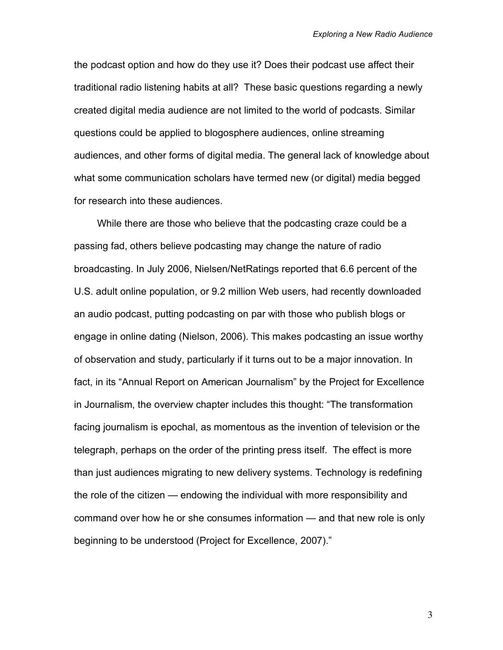the podcast option and how do they use it? Does their podcast use affect their traditional radio listening habits at all? These basic questions regarding a newly created digital media audience are not limited to the world of podcasts. Similar questions could be applied to blogosphere audiences, online streaming audiences, and other forms of digital media. The general lack of knowledge about what some communication scholars have termed new (or digital) media begged for research into these audiences.

While there are those who believe that the podcasting craze could be a passing fad, others believe podcasting may change the nature of radio broadcasting. In July 2006, Nielsen/NetRatings reported that 6.6 percent of the U.S. adult online population, or 9.2 million Web users, had recently downloaded an audio podcast, putting podcasting on par with those who publish blogs or engage in online dating (Nielson, 2006). This makes podcasting an issue worthy of observation and study, particularly if it turns out to be a major innovation. In fact, in its "Annual Report on American Journalism" by the Project for Excellence in Journalism, the overview chapter includes this thought: "The transformation facing journalism is epochal, as momentous as the invention of television or the telegraph, perhaps on the order of the printing press itself. The effect is more than just audiences migrating to new delivery systems. Technology is redefining the role of the citizen — endowing the individual with more responsibility and command over how he or she consumes information — and that new role is only beginning to be understood (Project for Excellence, 2007)."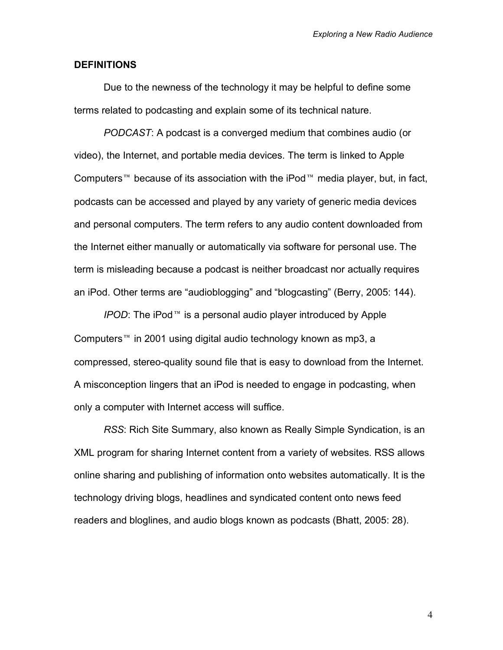## **DEFINITIONS**

Due to the newness of the technology it may be helpful to define some terms related to podcasting and explain some of its technical nature.

*PODCAST*: A podcast is a converged medium that combines audio (or video), the Internet, and portable media devices. The term is linked to Apple Computers<sup> $m$ </sup> because of its association with the iPod  $m$  media player, but, in fact, podcasts can be accessed and played by any variety of generic media devices and personal computers. The term refers to any audio content downloaded from the Internet either manually or automatically via software for personal use. The term is misleading because a podcast is neither broadcast nor actually requires an iPod. Other terms are "audioblogging" and "blogcasting" (Berry, 2005: 144).

*IPOD*: The iPod<sup>™</sup> is a personal audio player introduced by Apple Computers<sup>™</sup> in 2001 using digital audio technology known as mp3, a compressed, stereo-quality sound file that is easy to download from the Internet. A misconception lingers that an iPod is needed to engage in podcasting, when only a computer with Internet access will suffice.

*RSS*: Rich Site Summary, also known as Really Simple Syndication, is an XML program for sharing Internet content from a variety of websites. RSS allows online sharing and publishing of information onto websites automatically. It is the technology driving blogs, headlines and syndicated content onto news feed readers and bloglines, and audio blogs known as podcasts (Bhatt, 2005: 28).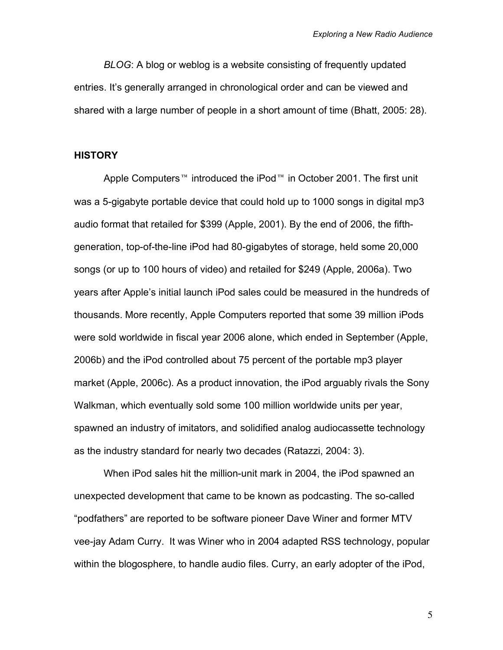*BLOG*: A blog or weblog is a website consisting of frequently updated entries. It's generally arranged in chronological order and can be viewed and shared with a large number of people in a short amount of time (Bhatt, 2005: 28).

## **HISTORY**

Apple Computers<sup>™</sup> introduced the iPod<sup>™</sup> in October 2001. The first unit was a 5-gigabyte portable device that could hold up to 1000 songs in digital mp3 audio format that retailed for \$399 (Apple, 2001). By the end of 2006, the fifthgeneration, top-of-the-line iPod had 80-gigabytes of storage, held some 20,000 songs (or up to 100 hours of video) and retailed for \$249 (Apple, 2006a). Two years after Apple's initial launch iPod sales could be measured in the hundreds of thousands. More recently, Apple Computers reported that some 39 million iPods were sold worldwide in fiscal year 2006 alone, which ended in September (Apple, 2006b) and the iPod controlled about 75 percent of the portable mp3 player market (Apple, 2006c). As a product innovation, the iPod arguably rivals the Sony Walkman, which eventually sold some 100 million worldwide units per year, spawned an industry of imitators, and solidified analog audiocassette technology as the industry standard for nearly two decades (Ratazzi, 2004: 3).

When iPod sales hit the million-unit mark in 2004, the iPod spawned an unexpected development that came to be known as podcasting. The so-called "podfathers" are reported to be software pioneer Dave Winer and former MTV vee-jay Adam Curry. It was Winer who in 2004 adapted RSS technology, popular within the blogosphere, to handle audio files. Curry, an early adopter of the iPod,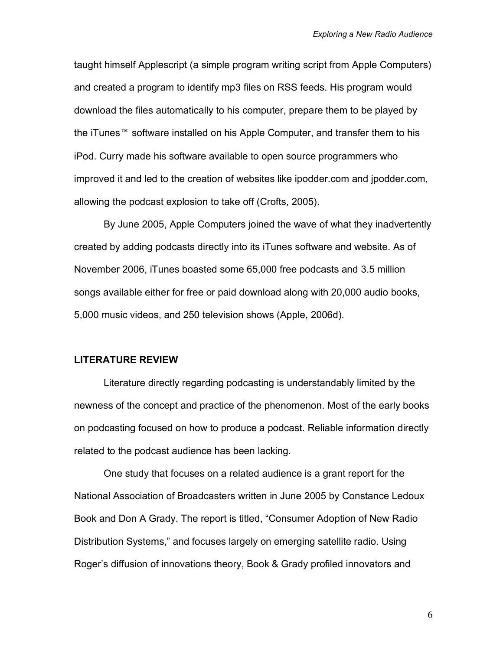taught himself Applescript (a simple program writing script from Apple Computers) and created a program to identify mp3 files on RSS feeds. His program would download the files automatically to his computer, prepare them to be played by the iTunes  $M$  software installed on his Apple Computer, and transfer them to his iPod. Curry made his software available to open source programmers who improved it and led to the creation of websites like ipodder.com and jpodder.com, allowing the podcast explosion to take off (Crofts, 2005).

By June 2005, Apple Computers joined the wave of what they inadvertently created by adding podcasts directly into its iTunes software and website. As of November 2006, iTunes boasted some 65,000 free podcasts and 3.5 million songs available either for free or paid download along with 20,000 audio books, 5,000 music videos, and 250 television shows (Apple, 2006d).

#### **LITERATURE REVIEW**

Literature directly regarding podcasting is understandably limited by the newness of the concept and practice of the phenomenon. Most of the early books on podcasting focused on how to produce a podcast. Reliable information directly related to the podcast audience has been lacking.

One study that focuses on a related audience is a grant report for the National Association of Broadcasters written in June 2005 by Constance Ledoux Book and Don A Grady. The report is titled, "Consumer Adoption of New Radio Distribution Systems," and focuses largely on emerging satellite radio. Using Roger's diffusion of innovations theory, Book & Grady profiled innovators and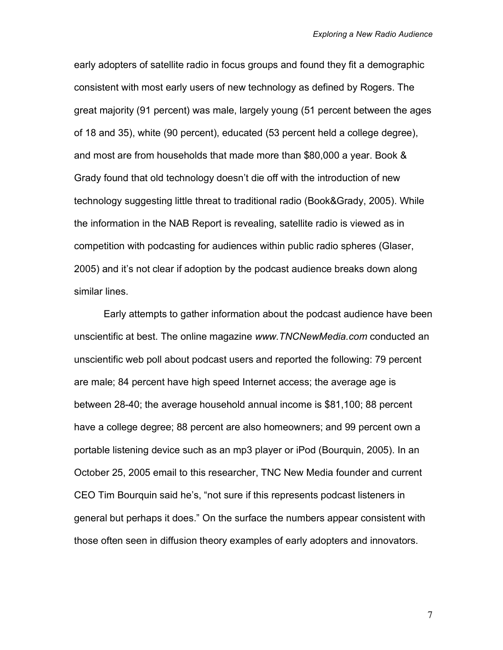early adopters of satellite radio in focus groups and found they fit a demographic consistent with most early users of new technology as defined by Rogers. The great majority (91 percent) was male, largely young (51 percent between the ages of 18 and 35), white (90 percent), educated (53 percent held a college degree), and most are from households that made more than \$80,000 a year. Book & Grady found that old technology doesn't die off with the introduction of new technology suggesting little threat to traditional radio (Book&Grady, 2005). While the information in the NAB Report is revealing, satellite radio is viewed as in competition with podcasting for audiences within public radio spheres (Glaser, 2005) and it's not clear if adoption by the podcast audience breaks down along similar lines.

Early attempts to gather information about the podcast audience have been unscientific at best. The online magazine *www.TNCNewMedia.com* conducted an unscientific web poll about podcast users and reported the following: 79 percent are male; 84 percent have high speed Internet access; the average age is between 28-40; the average household annual income is \$81,100; 88 percent have a college degree; 88 percent are also homeowners; and 99 percent own a portable listening device such as an mp3 player or iPod (Bourquin, 2005). In an October 25, 2005 email to this researcher, TNC New Media founder and current CEO Tim Bourquin said he's, "not sure if this represents podcast listeners in general but perhaps it does." On the surface the numbers appear consistent with those often seen in diffusion theory examples of early adopters and innovators.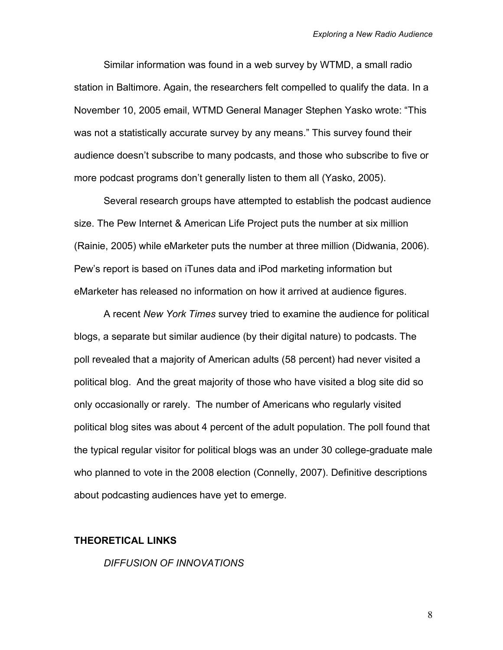Similar information was found in a web survey by WTMD, a small radio station in Baltimore. Again, the researchers felt compelled to qualify the data. In a November 10, 2005 email, WTMD General Manager Stephen Yasko wrote: "This was not a statistically accurate survey by any means." This survey found their audience doesn't subscribe to many podcasts, and those who subscribe to five or more podcast programs don't generally listen to them all (Yasko, 2005).

Several research groups have attempted to establish the podcast audience size. The Pew Internet & American Life Project puts the number at six million (Rainie, 2005) while eMarketer puts the number at three million (Didwania, 2006). Pew's report is based on iTunes data and iPod marketing information but eMarketer has released no information on how it arrived at audience figures.

A recent *New York Times* survey tried to examine the audience for political blogs, a separate but similar audience (by their digital nature) to podcasts. The poll revealed that a majority of American adults (58 percent) had never visited a political blog. And the great majority of those who have visited a blog site did so only occasionally or rarely. The number of Americans who regularly visited political blog sites was about 4 percent of the adult population. The poll found that the typical regular visitor for political blogs was an under 30 college-graduate male who planned to vote in the 2008 election (Connelly, 2007). Definitive descriptions about podcasting audiences have yet to emerge.

## **THEORETICAL LINKS**

*DIFFUSION OF INNOVATIONS*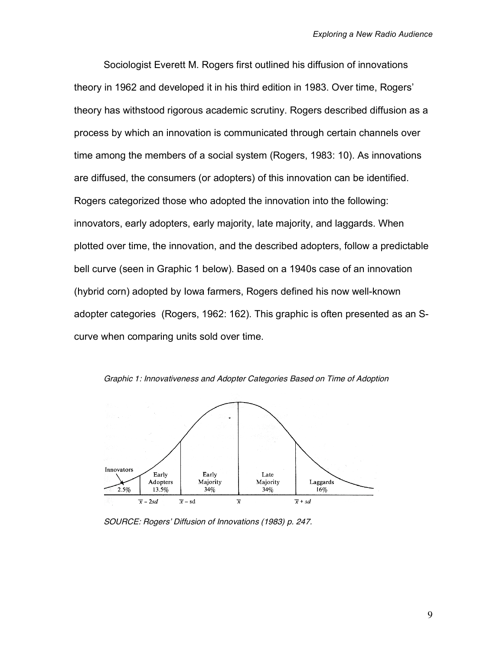Sociologist Everett M. Rogers first outlined his diffusion of innovations theory in 1962 and developed it in his third edition in 1983. Over time, Rogers' theory has withstood rigorous academic scrutiny. Rogers described diffusion as a process by which an innovation is communicated through certain channels over time among the members of a social system (Rogers, 1983: 10). As innovations are diffused, the consumers (or adopters) of this innovation can be identified. Rogers categorized those who adopted the innovation into the following: innovators, early adopters, early majority, late majority, and laggards. When plotted over time, the innovation, and the described adopters, follow a predictable bell curve (seen in Graphic 1 below). Based on a 1940s case of an innovation (hybrid corn) adopted by Iowa farmers, Rogers defined his now well-known adopter categories (Rogers, 1962: 162). This graphic is often presented as an Scurve when comparing units sold over time.



Graphic 1: Innovativeness and Adopter Categories Based on Time of Adoption

SOURCE: Rogers' Diffusion of Innovations (1983) p. 247.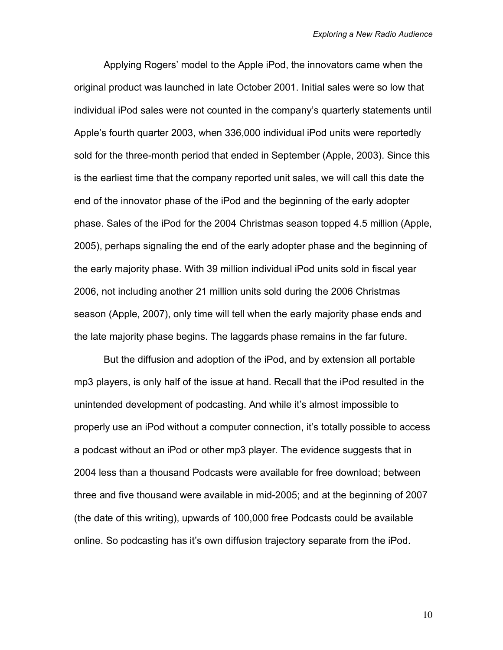Applying Rogers' model to the Apple iPod, the innovators came when the original product was launched in late October 2001. Initial sales were so low that individual iPod sales were not counted in the company's quarterly statements until Apple's fourth quarter 2003, when 336,000 individual iPod units were reportedly sold for the three-month period that ended in September (Apple, 2003). Since this is the earliest time that the company reported unit sales, we will call this date the end of the innovator phase of the iPod and the beginning of the early adopter phase. Sales of the iPod for the 2004 Christmas season topped 4.5 million (Apple, 2005), perhaps signaling the end of the early adopter phase and the beginning of the early majority phase. With 39 million individual iPod units sold in fiscal year 2006, not including another 21 million units sold during the 2006 Christmas season (Apple, 2007), only time will tell when the early majority phase ends and the late majority phase begins. The laggards phase remains in the far future.

But the diffusion and adoption of the iPod, and by extension all portable mp3 players, is only half of the issue at hand. Recall that the iPod resulted in the unintended development of podcasting. And while it's almost impossible to properly use an iPod without a computer connection, it's totally possible to access a podcast without an iPod or other mp3 player. The evidence suggests that in 2004 less than a thousand Podcasts were available for free download; between three and five thousand were available in mid-2005; and at the beginning of 2007 (the date of this writing), upwards of 100,000 free Podcasts could be available online. So podcasting has it's own diffusion trajectory separate from the iPod.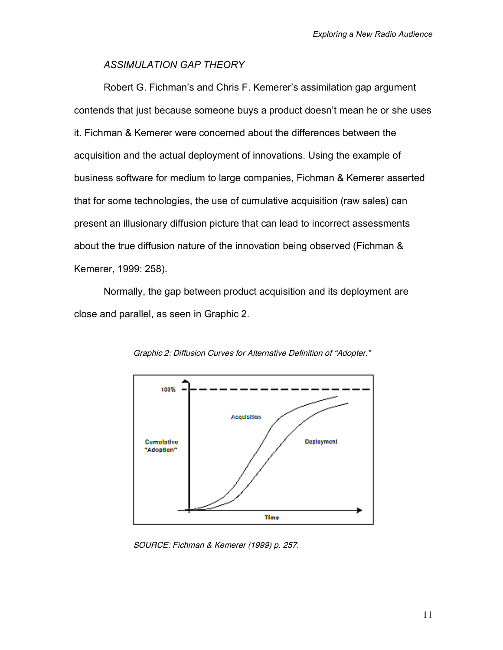# *ASSIMULATION GAP THEORY*

Robert G. Fichman's and Chris F. Kemerer's assimilation gap argument contends that just because someone buys a product doesn't mean he or she uses it. Fichman & Kemerer were concerned about the differences between the acquisition and the actual deployment of innovations. Using the example of business software for medium to large companies, Fichman & Kemerer asserted that for some technologies, the use of cumulative acquisition (raw sales) can present an illusionary diffusion picture that can lead to incorrect assessments about the true diffusion nature of the innovation being observed (Fichman & Kemerer, 1999: 258).

Normally, the gap between product acquisition and its deployment are close and parallel, as seen in Graphic 2.



Graphic 2: Diffusion Curves for Alternative Definition of "Adopter."

SOURCE: Fichman & Kemerer (1999) p. 257.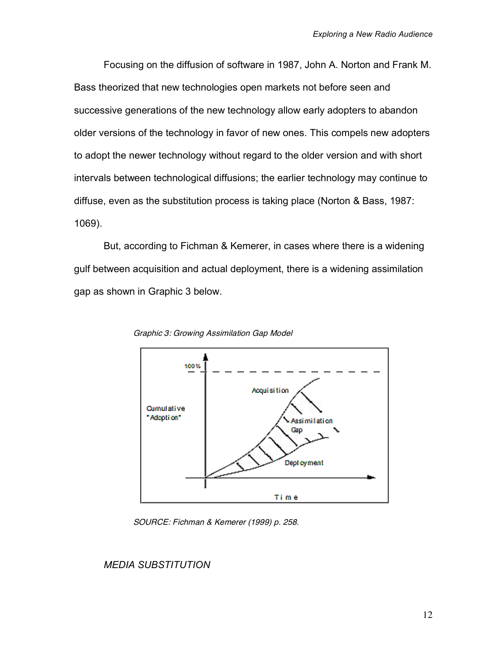Focusing on the diffusion of software in 1987, John A. Norton and Frank M. Bass theorized that new technologies open markets not before seen and successive generations of the new technology allow early adopters to abandon older versions of the technology in favor of new ones. This compels new adopters to adopt the newer technology without regard to the older version and with short intervals between technological diffusions; the earlier technology may continue to diffuse, even as the substitution process is taking place (Norton & Bass, 1987: 1069).

But, according to Fichman & Kemerer, in cases where there is a widening gulf between acquisition and actual deployment, there is a widening assimilation gap as shown in Graphic 3 below.



Graphic 3: Growing Assimilation Gap Model

SOURCE: Fichman & Kemerer (1999) p. 258.

## *MEDIA SUBSTITUTION*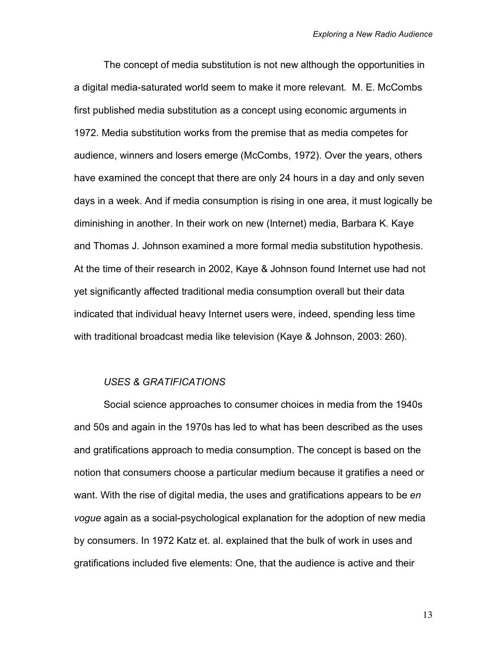The concept of media substitution is not new although the opportunities in a digital media-saturated world seem to make it more relevant. M. E. McCombs first published media substitution as a concept using economic arguments in 1972. Media substitution works from the premise that as media competes for audience, winners and losers emerge (McCombs, 1972). Over the years, others have examined the concept that there are only 24 hours in a day and only seven days in a week. And if media consumption is rising in one area, it must logically be diminishing in another. In their work on new (Internet) media, Barbara K. Kaye and Thomas J. Johnson examined a more formal media substitution hypothesis. At the time of their research in 2002, Kaye & Johnson found Internet use had not yet significantly affected traditional media consumption overall but their data indicated that individual heavy Internet users were, indeed, spending less time with traditional broadcast media like television (Kaye & Johnson, 2003: 260).

## *USES & GRATIFICATIONS*

Social science approaches to consumer choices in media from the 1940s and 50s and again in the 1970s has led to what has been described as the uses and gratifications approach to media consumption. The concept is based on the notion that consumers choose a particular medium because it gratifies a need or want. With the rise of digital media, the uses and gratifications appears to be *en vogue* again as a social-psychological explanation for the adoption of new media by consumers. In 1972 Katz et. al. explained that the bulk of work in uses and gratifications included five elements: One, that the audience is active and their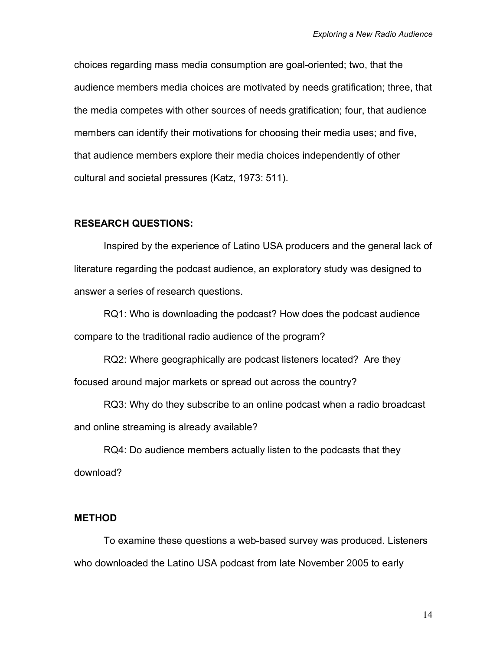choices regarding mass media consumption are goal-oriented; two, that the audience members media choices are motivated by needs gratification; three, that the media competes with other sources of needs gratification; four, that audience members can identify their motivations for choosing their media uses; and five, that audience members explore their media choices independently of other cultural and societal pressures (Katz, 1973: 511).

#### **RESEARCH QUESTIONS:**

Inspired by the experience of Latino USA producers and the general lack of literature regarding the podcast audience, an exploratory study was designed to answer a series of research questions.

RQ1: Who is downloading the podcast? How does the podcast audience compare to the traditional radio audience of the program?

RQ2: Where geographically are podcast listeners located? Are they focused around major markets or spread out across the country?

RQ3: Why do they subscribe to an online podcast when a radio broadcast and online streaming is already available?

RQ4: Do audience members actually listen to the podcasts that they download?

# **METHOD**

To examine these questions a web-based survey was produced. Listeners who downloaded the Latino USA podcast from late November 2005 to early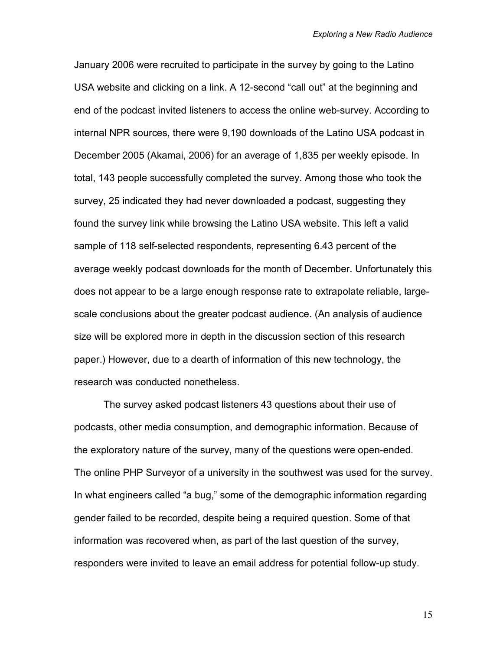January 2006 were recruited to participate in the survey by going to the Latino USA website and clicking on a link. A 12-second "call out" at the beginning and end of the podcast invited listeners to access the online web-survey. According to internal NPR sources, there were 9,190 downloads of the Latino USA podcast in December 2005 (Akamai, 2006) for an average of 1,835 per weekly episode. In total, 143 people successfully completed the survey. Among those who took the survey, 25 indicated they had never downloaded a podcast, suggesting they found the survey link while browsing the Latino USA website. This left a valid sample of 118 self-selected respondents, representing 6.43 percent of the average weekly podcast downloads for the month of December. Unfortunately this does not appear to be a large enough response rate to extrapolate reliable, largescale conclusions about the greater podcast audience. (An analysis of audience size will be explored more in depth in the discussion section of this research paper.) However, due to a dearth of information of this new technology, the research was conducted nonetheless.

The survey asked podcast listeners 43 questions about their use of podcasts, other media consumption, and demographic information. Because of the exploratory nature of the survey, many of the questions were open-ended. The online PHP Surveyor of a university in the southwest was used for the survey. In what engineers called "a bug," some of the demographic information regarding gender failed to be recorded, despite being a required question. Some of that information was recovered when, as part of the last question of the survey, responders were invited to leave an email address for potential follow-up study.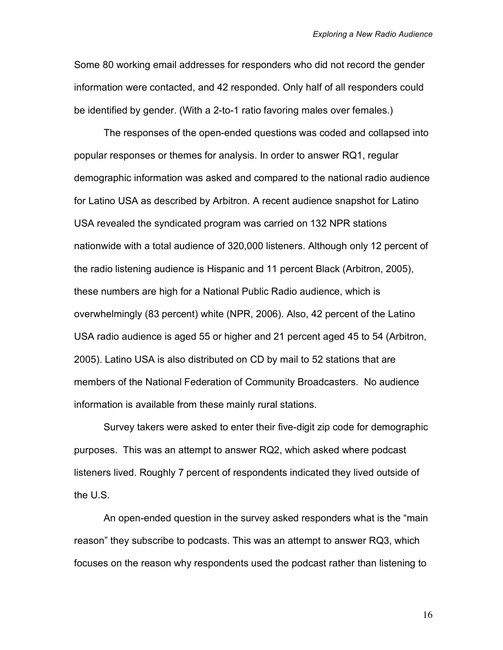Some 80 working email addresses for responders who did not record the gender information were contacted, and 42 responded. Only half of all responders could be identified by gender. (With a 2-to-1 ratio favoring males over females.)

The responses of the open-ended questions was coded and collapsed into popular responses or themes for analysis. In order to answer RQ1, regular demographic information was asked and compared to the national radio audience for Latino USA as described by Arbitron. A recent audience snapshot for Latino USA revealed the syndicated program was carried on 132 NPR stations nationwide with a total audience of 320,000 listeners. Although only 12 percent of the radio listening audience is Hispanic and 11 percent Black (Arbitron, 2005), these numbers are high for a National Public Radio audience, which is overwhelmingly (83 percent) white (NPR, 2006). Also, 42 percent of the Latino USA radio audience is aged 55 or higher and 21 percent aged 45 to 54 (Arbitron, 2005). Latino USA is also distributed on CD by mail to 52 stations that are members of the National Federation of Community Broadcasters. No audience information is available from these mainly rural stations.

Survey takers were asked to enter their five-digit zip code for demographic purposes. This was an attempt to answer RQ2, which asked where podcast listeners lived. Roughly 7 percent of respondents indicated they lived outside of the U.S.

An open-ended question in the survey asked responders what is the "main reason" they subscribe to podcasts. This was an attempt to answer RQ3, which focuses on the reason why respondents used the podcast rather than listening to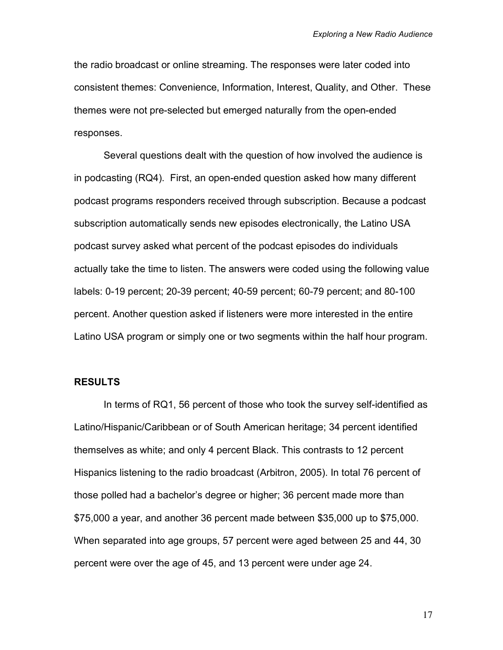the radio broadcast or online streaming. The responses were later coded into consistent themes: Convenience, Information, Interest, Quality, and Other. These themes were not pre-selected but emerged naturally from the open-ended responses.

Several questions dealt with the question of how involved the audience is in podcasting (RQ4). First, an open-ended question asked how many different podcast programs responders received through subscription. Because a podcast subscription automatically sends new episodes electronically, the Latino USA podcast survey asked what percent of the podcast episodes do individuals actually take the time to listen. The answers were coded using the following value labels: 0-19 percent; 20-39 percent; 40-59 percent; 60-79 percent; and 80-100 percent. Another question asked if listeners were more interested in the entire Latino USA program or simply one or two segments within the half hour program.

## **RESULTS**

In terms of RQ1, 56 percent of those who took the survey self-identified as Latino/Hispanic/Caribbean or of South American heritage; 34 percent identified themselves as white; and only 4 percent Black. This contrasts to 12 percent Hispanics listening to the radio broadcast (Arbitron, 2005). In total 76 percent of those polled had a bachelor's degree or higher; 36 percent made more than \$75,000 a year, and another 36 percent made between \$35,000 up to \$75,000. When separated into age groups, 57 percent were aged between 25 and 44, 30 percent were over the age of 45, and 13 percent were under age 24.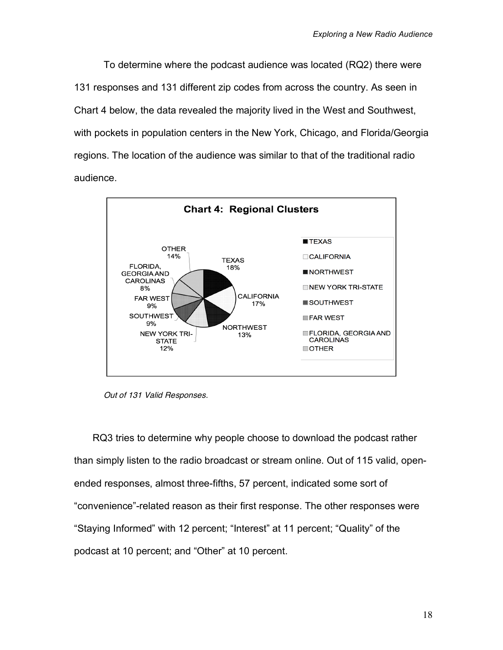To determine where the podcast audience was located (RQ2) there were 131 responses and 131 different zip codes from across the country. As seen in Chart 4 below, the data revealed the majority lived in the West and Southwest, with pockets in population centers in the New York, Chicago, and Florida/Georgia regions. The location of the audience was similar to that of the traditional radio audience.



Out of 131 Valid Responses.

RQ3 tries to determine why people choose to download the podcast rather than simply listen to the radio broadcast or stream online. Out of 115 valid, openended responses, almost three-fifths, 57 percent, indicated some sort of "convenience"-related reason as their first response. The other responses were "Staying Informed" with 12 percent; "Interest" at 11 percent; "Quality" of the podcast at 10 percent; and "Other" at 10 percent.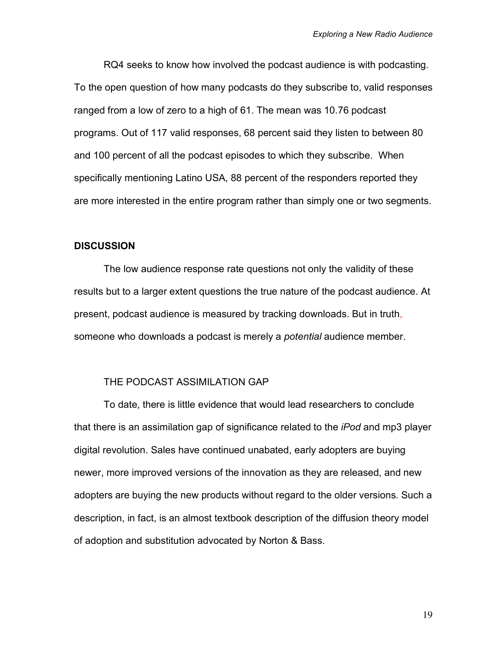RQ4 seeks to know how involved the podcast audience is with podcasting. To the open question of how many podcasts do they subscribe to, valid responses ranged from a low of zero to a high of 61. The mean was 10.76 podcast programs. Out of 117 valid responses, 68 percent said they listen to between 80 and 100 percent of all the podcast episodes to which they subscribe. When specifically mentioning Latino USA, 88 percent of the responders reported they are more interested in the entire program rather than simply one or two segments.

## **DISCUSSION**

The low audience response rate questions not only the validity of these results but to a larger extent questions the true nature of the podcast audience. At present, podcast audience is measured by tracking downloads. But in truth, someone who downloads a podcast is merely a *potential* audience member.

#### THE PODCAST ASSIMILATION GAP

To date, there is little evidence that would lead researchers to conclude that there is an assimilation gap of significance related to the *iPod* and mp3 player digital revolution. Sales have continued unabated, early adopters are buying newer, more improved versions of the innovation as they are released, and new adopters are buying the new products without regard to the older versions. Such a description, in fact, is an almost textbook description of the diffusion theory model of adoption and substitution advocated by Norton & Bass.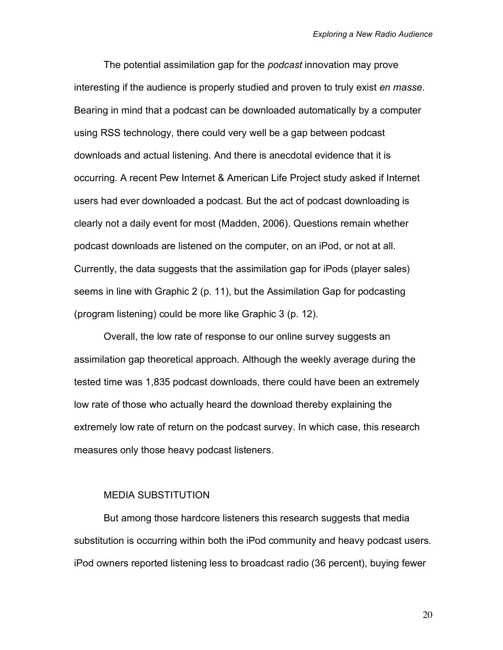The potential assimilation gap for the *podcast* innovation may prove interesting if the audience is properly studied and proven to truly exist *en masse*. Bearing in mind that a podcast can be downloaded automatically by a computer using RSS technology, there could very well be a gap between podcast downloads and actual listening. And there is anecdotal evidence that it is occurring. A recent Pew Internet & American Life Project study asked if Internet users had ever downloaded a podcast. But the act of podcast downloading is clearly not a daily event for most (Madden, 2006). Questions remain whether podcast downloads are listened on the computer, on an iPod, or not at all. Currently, the data suggests that the assimilation gap for iPods (player sales) seems in line with Graphic 2 (p. 11), but the Assimilation Gap for podcasting (program listening) could be more like Graphic 3 (p. 12).

Overall, the low rate of response to our online survey suggests an assimilation gap theoretical approach. Although the weekly average during the tested time was 1,835 podcast downloads, there could have been an extremely low rate of those who actually heard the download thereby explaining the extremely low rate of return on the podcast survey. In which case, this research measures only those heavy podcast listeners.

#### MEDIA SUBSTITUTION

But among those hardcore listeners this research suggests that media substitution is occurring within both the iPod community and heavy podcast users. iPod owners reported listening less to broadcast radio (36 percent), buying fewer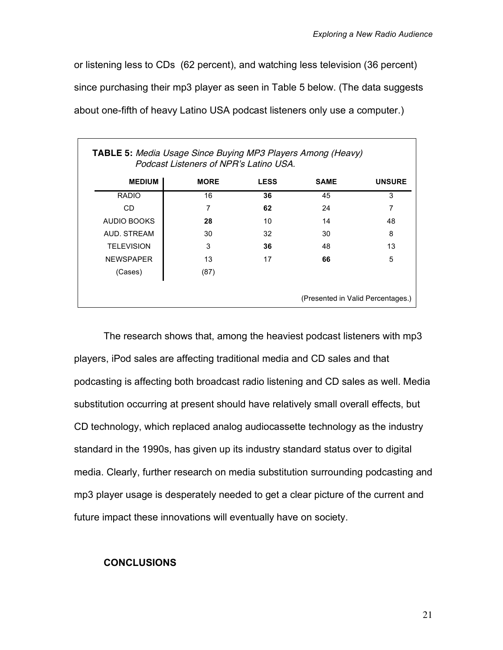or listening less to CDs (62 percent), and watching less television (36 percent) since purchasing their mp3 player as seen in Table 5 below. (The data suggests about one-fifth of heavy Latino USA podcast listeners only use a computer.)

| <b>TABLE 5: Media Usage Since Buying MP3 Players Among (Heavy)</b><br>Podcast Listeners of NPR's Latino USA |             |             |             |               |
|-------------------------------------------------------------------------------------------------------------|-------------|-------------|-------------|---------------|
| <b>MEDIUM</b>                                                                                               | <b>MORE</b> | <b>LESS</b> | <b>SAME</b> | <b>UNSURE</b> |
| <b>RADIO</b>                                                                                                | 16          | 36          | 45          | 3             |
| CD.                                                                                                         | 7           | 62          | 24          | 7             |
| <b>AUDIO BOOKS</b>                                                                                          | 28          | 10          | 14          | 48            |
| AUD. STREAM                                                                                                 | 30          | 32          | 30          | 8             |
| <b>TELEVISION</b>                                                                                           | 3           | 36          | 48          | 13            |
| <b>NEWSPAPER</b>                                                                                            | 13          | 17          | 66          | 5             |
| (Cases)                                                                                                     | (87)        |             |             |               |
| (Presented in Valid Percentages.)                                                                           |             |             |             |               |

The research shows that, among the heaviest podcast listeners with mp3 players, iPod sales are affecting traditional media and CD sales and that podcasting is affecting both broadcast radio listening and CD sales as well. Media substitution occurring at present should have relatively small overall effects, but CD technology, which replaced analog audiocassette technology as the industry standard in the 1990s, has given up its industry standard status over to digital media. Clearly, further research on media substitution surrounding podcasting and mp3 player usage is desperately needed to get a clear picture of the current and future impact these innovations will eventually have on society.

# **CONCLUSIONS**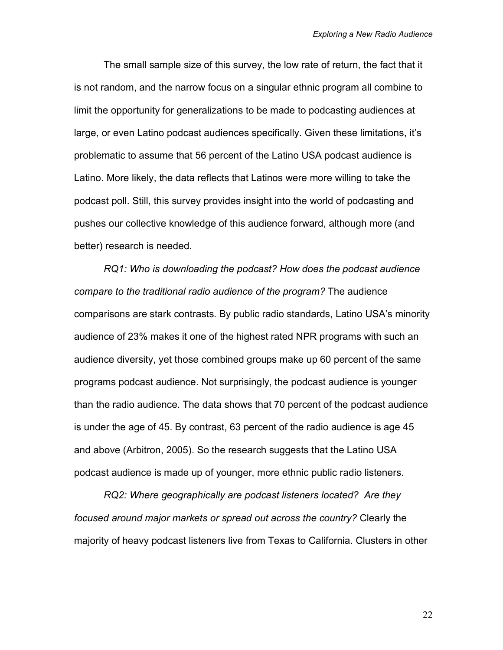The small sample size of this survey, the low rate of return, the fact that it is not random, and the narrow focus on a singular ethnic program all combine to limit the opportunity for generalizations to be made to podcasting audiences at large, or even Latino podcast audiences specifically. Given these limitations, it's problematic to assume that 56 percent of the Latino USA podcast audience is Latino. More likely, the data reflects that Latinos were more willing to take the podcast poll. Still, this survey provides insight into the world of podcasting and pushes our collective knowledge of this audience forward, although more (and better) research is needed.

*RQ1: Who is downloading the podcast? How does the podcast audience compare to the traditional radio audience of the program?* The audience comparisons are stark contrasts. By public radio standards, Latino USA's minority audience of 23% makes it one of the highest rated NPR programs with such an audience diversity, yet those combined groups make up 60 percent of the same programs podcast audience. Not surprisingly, the podcast audience is younger than the radio audience. The data shows that 70 percent of the podcast audience is under the age of 45. By contrast, 63 percent of the radio audience is age 45 and above (Arbitron, 2005). So the research suggests that the Latino USA podcast audience is made up of younger, more ethnic public radio listeners.

*RQ2: Where geographically are podcast listeners located? Are they focused around major markets or spread out across the country?* Clearly the majority of heavy podcast listeners live from Texas to California. Clusters in other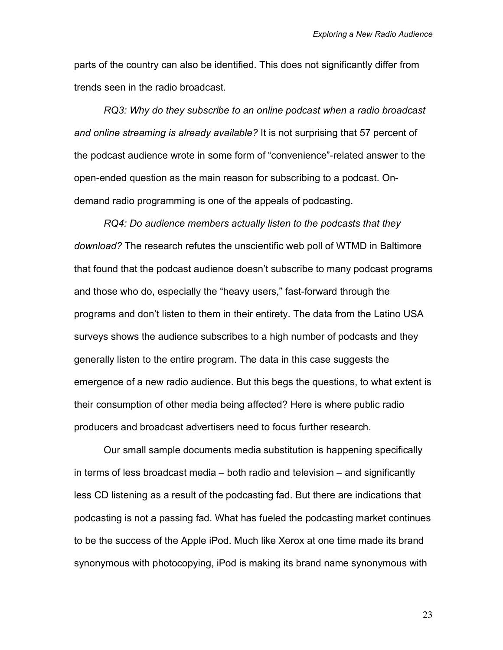parts of the country can also be identified. This does not significantly differ from trends seen in the radio broadcast.

*RQ3: Why do they subscribe to an online podcast when a radio broadcast and online streaming is already available?* It is not surprising that 57 percent of the podcast audience wrote in some form of "convenience"-related answer to the open-ended question as the main reason for subscribing to a podcast. Ondemand radio programming is one of the appeals of podcasting.

*RQ4: Do audience members actually listen to the podcasts that they download?* The research refutes the unscientific web poll of WTMD in Baltimore that found that the podcast audience doesn't subscribe to many podcast programs and those who do, especially the "heavy users," fast-forward through the programs and don't listen to them in their entirety. The data from the Latino USA surveys shows the audience subscribes to a high number of podcasts and they generally listen to the entire program. The data in this case suggests the emergence of a new radio audience. But this begs the questions, to what extent is their consumption of other media being affected? Here is where public radio producers and broadcast advertisers need to focus further research.

Our small sample documents media substitution is happening specifically in terms of less broadcast media – both radio and television – and significantly less CD listening as a result of the podcasting fad. But there are indications that podcasting is not a passing fad. What has fueled the podcasting market continues to be the success of the Apple iPod. Much like Xerox at one time made its brand synonymous with photocopying, iPod is making its brand name synonymous with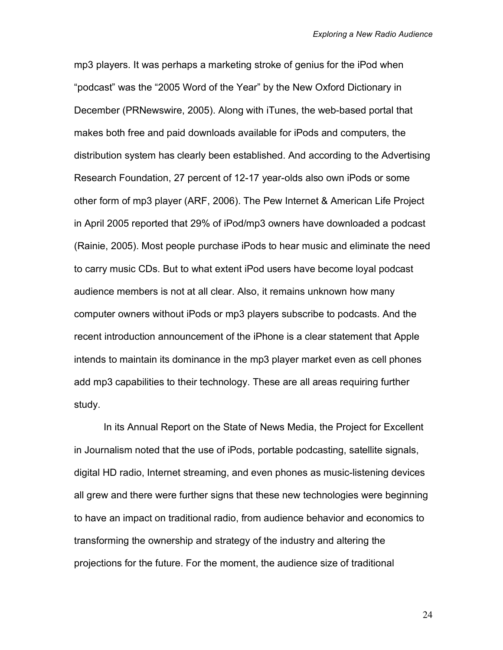mp3 players. It was perhaps a marketing stroke of genius for the iPod when "podcast" was the "2005 Word of the Year" by the New Oxford Dictionary in December (PRNewswire, 2005). Along with iTunes, the web-based portal that makes both free and paid downloads available for iPods and computers, the distribution system has clearly been established. And according to the Advertising Research Foundation, 27 percent of 12-17 year-olds also own iPods or some other form of mp3 player (ARF, 2006). The Pew Internet & American Life Project in April 2005 reported that 29% of iPod/mp3 owners have downloaded a podcast (Rainie, 2005). Most people purchase iPods to hear music and eliminate the need to carry music CDs. But to what extent iPod users have become loyal podcast audience members is not at all clear. Also, it remains unknown how many computer owners without iPods or mp3 players subscribe to podcasts. And the recent introduction announcement of the iPhone is a clear statement that Apple intends to maintain its dominance in the mp3 player market even as cell phones add mp3 capabilities to their technology. These are all areas requiring further study.

In its Annual Report on the State of News Media, the Project for Excellent in Journalism noted that the use of iPods, portable podcasting, satellite signals, digital HD radio, Internet streaming, and even phones as music-listening devices all grew and there were further signs that these new technologies were beginning to have an impact on traditional radio, from audience behavior and economics to transforming the ownership and strategy of the industry and altering the projections for the future. For the moment, the audience size of traditional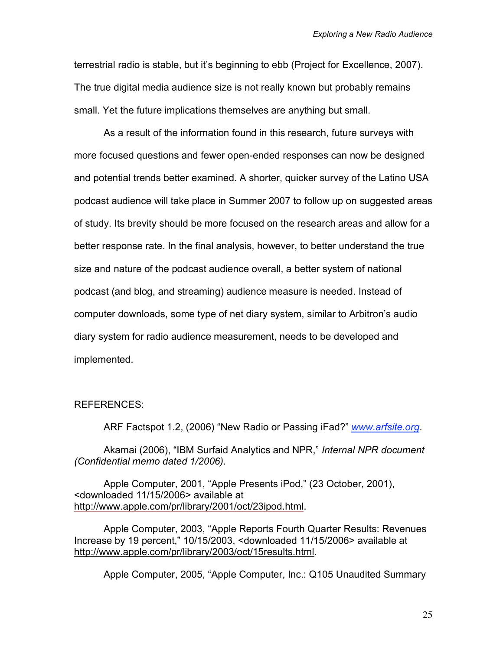terrestrial radio is stable, but it's beginning to ebb (Project for Excellence, 2007). The true digital media audience size is not really known but probably remains small. Yet the future implications themselves are anything but small.

As a result of the information found in this research, future surveys with more focused questions and fewer open-ended responses can now be designed and potential trends better examined. A shorter, quicker survey of the Latino USA podcast audience will take place in Summer 2007 to follow up on suggested areas of study. Its brevity should be more focused on the research areas and allow for a better response rate. In the final analysis, however, to better understand the true size and nature of the podcast audience overall, a better system of national podcast (and blog, and streaming) audience measure is needed. Instead of computer downloads, some type of net diary system, similar to Arbitron's audio diary system for radio audience measurement, needs to be developed and implemented.

#### REFERENCES:

ARF Factspot 1.2, (2006) "New Radio or Passing iFad?" *www.arfsite.org*.

Akamai (2006), "IBM Surfaid Analytics and NPR," *Internal NPR document (Confidential memo dated 1/2006)*.

Apple Computer, 2001, "Apple Presents iPod," (23 October, 2001), <downloaded 11/15/2006> available at http://www.apple.com/pr/library/2001/oct/23ipod.html.

Apple Computer, 2003, "Apple Reports Fourth Quarter Results: Revenues Increase by 19 percent," 10/15/2003, <downloaded 11/15/2006> available at http://www.apple.com/pr/library/2003/oct/15results.html.

Apple Computer, 2005, "Apple Computer, Inc.: Q105 Unaudited Summary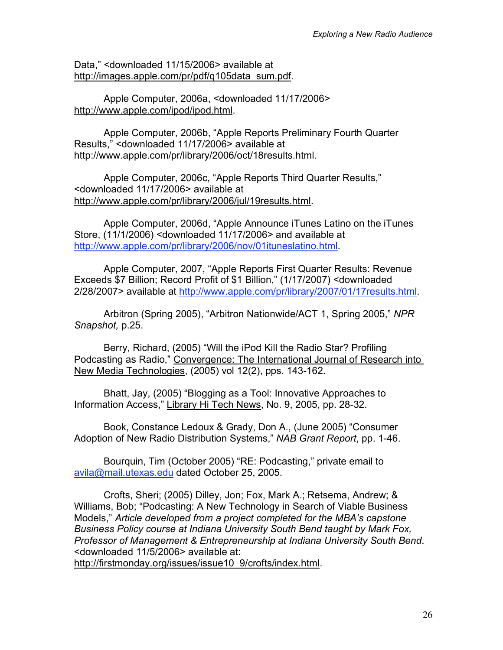Data," <downloaded 11/15/2006> available at http://images.apple.com/pr/pdf/q105data\_sum.pdf.

Apple Computer, 2006a, <downloaded 11/17/2006> http://www.apple.com/ipod/ipod.html.

Apple Computer, 2006b, "Apple Reports Preliminary Fourth Quarter Results," <downloaded 11/17/2006> available at http://www.apple.com/pr/library/2006/oct/18results.html.

Apple Computer, 2006c, "Apple Reports Third Quarter Results," <downloaded 11/17/2006> available at http://www.apple.com/pr/library/2006/jul/19results.html.

Apple Computer, 2006d, "Apple Announce iTunes Latino on the iTunes Store, (11/1/2006) <downloaded 11/17/2006> and available at http://www.apple.com/pr/library/2006/nov/01ituneslatino.html.

Apple Computer, 2007, "Apple Reports First Quarter Results: Revenue Exceeds \$7 Billion; Record Profit of \$1 Billion," (1/17/2007) <downloaded 2/28/2007> available at http://www.apple.com/pr/library/2007/01/17results.html.

Arbitron (Spring 2005), "Arbitron Nationwide/ACT 1, Spring 2005," *NPR Snapshot,* p.25.

Berry, Richard, (2005) "Will the iPod Kill the Radio Star? Profiling Podcasting as Radio," Convergence: The International Journal of Research into New Media Technologies, (2005) vol 12(2), pps. 143-162.

Bhatt, Jay, (2005) "Blogging as a Tool: Innovative Approaches to Information Access," Library Hi Tech News, No. 9, 2005, pp. 28-32.

Book, Constance Ledoux & Grady, Don A., (June 2005) "Consumer Adoption of New Radio Distribution Systems," *NAB Grant Report*, pp. 1-46.

Bourquin, Tim (October 2005) "RE: Podcasting," private email to avila@mail.utexas.edu dated October 25, 2005.

Crofts, Sheri; (2005) Dilley, Jon; Fox, Mark A.; Retsema, Andrew; & Williams, Bob; "Podcasting: A New Technology in Search of Viable Business Models," *Article developed from a project completed for the MBA's capstone Business Policy course at Indiana University South Bend taught by Mark Fox, Professor of Management & Entrepreneurship at Indiana University South Bend*. <downloaded 11/5/2006> available at:

http://firstmonday.org/issues/issue10\_9/crofts/index.html.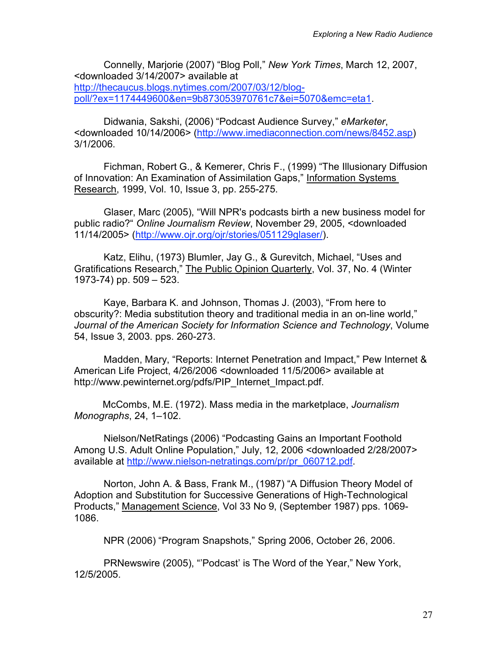Connelly, Marjorie (2007) "Blog Poll," *New York Times*, March 12, 2007, <downloaded 3/14/2007> available at http://thecaucus.blogs.nytimes.com/2007/03/12/blogpoll/?ex=1174449600&en=9b873053970761c7&ei=5070&emc=eta1.

Didwania, Sakshi, (2006) "Podcast Audience Survey," *eMarketer*, <downloaded 10/14/2006> (http://www.imediaconnection.com/news/8452.asp) 3/1/2006.

Fichman, Robert G., & Kemerer, Chris F., (1999) "The Illusionary Diffusion of Innovation: An Examination of Assimilation Gaps," Information Systems Research, 1999, Vol. 10, Issue 3, pp. 255-275.

Glaser, Marc (2005), "Will NPR's podcasts birth a new business model for public radio?" *Online Journalism Review*, November 29, 2005, <downloaded 11/14/2005> (http://www.ojr.org/ojr/stories/051129glaser/).

Katz, Elihu, (1973) Blumler, Jay G., & Gurevitch, Michael, "Uses and Gratifications Research," The Public Opinion Quarterly, Vol. 37, No. 4 (Winter 1973-74) pp. 509 – 523.

Kaye, Barbara K. and Johnson, Thomas J. (2003), "From here to obscurity?: Media substitution theory and traditional media in an on-line world," *Journal of the American Society for Information Science and Technology*, Volume 54, Issue 3, 2003. pps. 260-273.

Madden, Mary, "Reports: Internet Penetration and Impact," Pew Internet & American Life Project, 4/26/2006 <downloaded 11/5/2006> available at http://www.pewinternet.org/pdfs/PIP\_Internet\_Impact.pdf.

McCombs, M.E. (1972). Mass media in the marketplace, *Journalism Monographs*, 24, 1–102.

Nielson/NetRatings (2006) "Podcasting Gains an Important Foothold Among U.S. Adult Online Population," July, 12, 2006 <downloaded 2/28/2007> available at http://www.nielson-netratings.com/pr/pr\_060712.pdf.

Norton, John A. & Bass, Frank M., (1987) "A Diffusion Theory Model of Adoption and Substitution for Successive Generations of High-Technological Products," Management Science, Vol 33 No 9, (September 1987) pps. 1069- 1086.

NPR (2006) "Program Snapshots," Spring 2006, October 26, 2006.

PRNewswire (2005), "'Podcast' is The Word of the Year," New York, 12/5/2005.